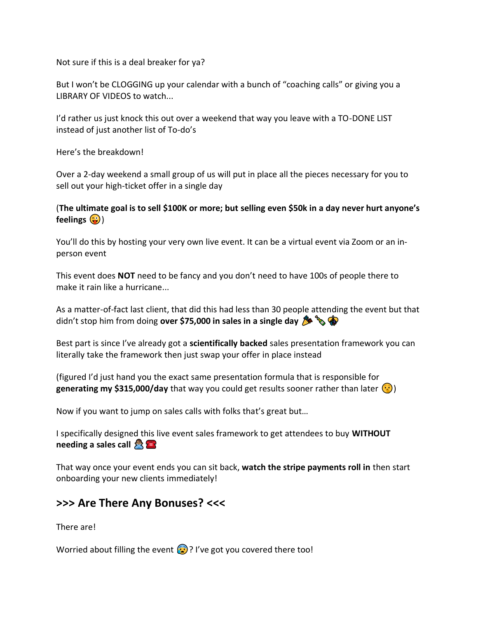Not sure if this is a deal breaker for ya?

But I won't be CLOGGING up your calendar with a bunch of "coaching calls" or giving you a LIBRARY OF VIDEOS to watch...

I'd rather us just knock this out over a weekend that way you leave with a TO-DONE LIST instead of just another list of To-do's

Here's the breakdown!

Over a 2-day weekend a small group of us will put in place all the pieces necessary for you to sell out your high-ticket offer in a single day

#### (**The ultimate goal is to sell \$100K or more; but selling even \$50k in a day never hurt anyone's feelings** (•)

You'll do this by hosting your very own live event. It can be a virtual event via Zoom or an inperson event

This event does **NOT** need to be fancy and you don't need to have 100s of people there to make it rain like a hurricane...

As a matter-of-fact last client, that did this had less than 30 people attending the event but that didn't stop him from doing **over \$75,000 in sales in a single day**  $\mathcal{F}$ 

Best part is since I've already got a **scientifically backed** sales presentation framework you can literally take the framework then just swap your offer in place instead

(figured I'd just hand you the exact same presentation formula that is responsible for **generating my \$315,000/day** that way you could get results sooner rather than later  $\binom{1}{k}$ 

Now if you want to jump on sales calls with folks that's great but…

I specifically designed this live event sales framework to get attendees to buy **WITHOUT needing a sales call**  $\mathbb{R}$ 

That way once your event ends you can sit back, **watch the stripe payments roll in** then start onboarding your new clients immediately!

### **>>> Are There Any Bonuses? <<<**

There are!

Worried about filling the event  $\Omega$ ? I've got you covered there too!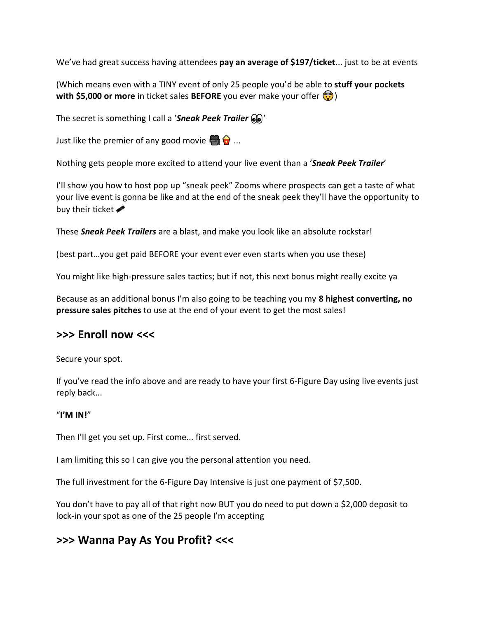We've had great success having attendees **pay an average of \$197/ticket**... just to be at events

(Which means even with a TINY event of only 25 people you'd be able to **stuff your pockets with \$5,000 or more** in ticket sales **BEFORE** you ever make your offer (a)

The secret is something I call a '*Sneak Peek Trailer*  $\mathbf{Q}$ '

Just like the premier of any good movie  $\bigoplus$   $\bigodot$  ...

Nothing gets people more excited to attend your live event than a '*Sneak Peek Trailer*'

I'll show you how to host pop up "sneak peek" Zooms where prospects can get a taste of what your live event is gonna be like and at the end of the sneak peek they'll have the opportunity to buy their ticket  $\bullet$ 

These *Sneak Peek Trailers* are a blast, and make you look like an absolute rockstar!

(best part…you get paid BEFORE your event ever even starts when you use these)

You might like high-pressure sales tactics; but if not, this next bonus might really excite ya

Because as an additional bonus I'm also going to be teaching you my **8 highest converting, no pressure sales pitches** to use at the end of your event to get the most sales!

### **>>> Enroll now <<<**

Secure your spot.

If you've read the info above and are ready to have your first 6-Figure Day using live events just reply back...

#### "**I'M IN!**"

Then I'll get you set up. First come... first served.

I am limiting this so I can give you the personal attention you need.

The full investment for the 6-Figure Day Intensive is just one payment of \$7,500.

You don't have to pay all of that right now BUT you do need to put down a \$2,000 deposit to lock-in your spot as one of the 25 people I'm accepting

# **>>> Wanna Pay As You Profit? <<<**